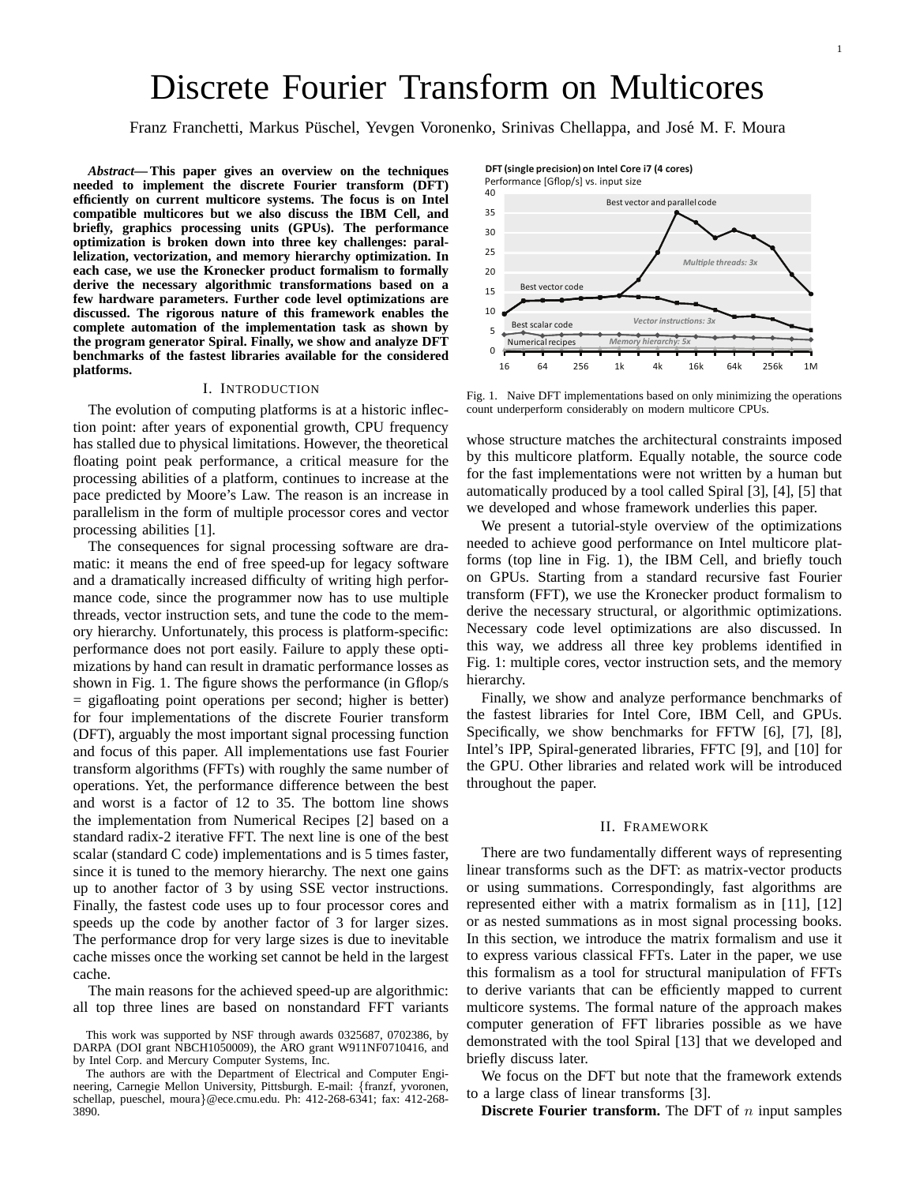# Discrete Fourier Transform on Multicores

Franz Franchetti, Markus Püschel, Yevgen Voronenko, Srinivas Chellappa, and José M. F. Moura

*Abstract***— This paper gives an overview on the techniques needed to implement the discrete Fourier transform (DFT) efficiently on current multicore systems. The focus is on Intel compatible multicores but we also discuss the IBM Cell, and briefly, graphics processing units (GPUs). The performance optimization is broken down into three key challenges: parallelization, vectorization, and memory hierarchy optimization. In each case, we use the Kronecker product formalism to formally derive the necessary algorithmic transformations based on a few hardware parameters. Further code level optimizations are discussed. The rigorous nature of this framework enables the complete automation of the implementation task as shown by the program generator Spiral. Finally, we show and analyze DFT benchmarks of the fastest libraries available for the considered platforms.**

#### I. INTRODUCTION

The evolution of computing platforms is at a historic inflection point: after years of exponential growth, CPU frequency has stalled due to physical limitations. However, the theoretical floating point peak performance, a critical measure for the processing abilities of a platform, continues to increase at the pace predicted by Moore's Law. The reason is an increase in parallelism in the form of multiple processor cores and vector processing abilities [1].

The consequences for signal processing software are dramatic: it means the end of free speed-up for legacy software and a dramatically increased difficulty of writing high performance code, since the programmer now has to use multiple threads, vector instruction sets, and tune the code to the memory hierarchy. Unfortunately, this process is platform-specific: performance does not port easily. Failure to apply these optimizations by hand can result in dramatic performance losses as shown in Fig. 1. The figure shows the performance (in Gflop/s = gigafloating point operations per second; higher is better) for four implementations of the discrete Fourier transform (DFT), arguably the most important signal processing function and focus of this paper. All implementations use fast Fourier transform algorithms (FFTs) with roughly the same number of operations. Yet, the performance difference between the best and worst is a factor of 12 to 35. The bottom line shows the implementation from Numerical Recipes [2] based on a standard radix-2 iterative FFT. The next line is one of the best scalar (standard C code) implementations and is 5 times faster, since it is tuned to the memory hierarchy. The next one gains up to another factor of 3 by using SSE vector instructions. Finally, the fastest code uses up to four processor cores and speeds up the code by another factor of 3 for larger sizes. The performance drop for very large sizes is due to inevitable cache misses once the working set cannot be held in the largest cache.

The main reasons for the achieved speed-up are algorithmic: all top three lines are based on nonstandard FFT variants

0 5 10 15 20 25 30 35 Best vector code Best scalar code Numerical recipes *Multiple threads: 3x Vector instructions: 3x Memory hierarchy: 5x*

Fig. 1. Naive DFT implementations based on only minimizing the operations count underperform considerably on modern multicore CPUs.

whose structure matches the architectural constraints imposed by this multicore platform. Equally notable, the source code for the fast implementations were not written by a human but automatically produced by a tool called Spiral [3], [4], [5] that we developed and whose framework underlies this paper.

We present a tutorial-style overview of the optimizations needed to achieve good performance on Intel multicore platforms (top line in Fig. 1), the IBM Cell, and briefly touch on GPUs. Starting from a standard recursive fast Fourier transform (FFT), we use the Kronecker product formalism to derive the necessary structural, or algorithmic optimizations. Necessary code level optimizations are also discussed. In this way, we address all three key problems identified in Fig. 1: multiple cores, vector instruction sets, and the memory hierarchy.

Finally, we show and analyze performance benchmarks of the fastest libraries for Intel Core, IBM Cell, and GPUs. Specifically, we show benchmarks for FFTW [6], [7], [8], Intel's IPP, Spiral-generated libraries, FFTC [9], and [10] for the GPU. Other libraries and related work will be introduced throughout the paper.

#### II. FRAMEWORK

There are two fundamentally different ways of representing linear transforms such as the DFT: as matrix-vector products or using summations. Correspondingly, fast algorithms are represented either with a matrix formalism as in [11], [12] or as nested summations as in most signal processing books. In this section, we introduce the matrix formalism and use it to express various classical FFTs. Later in the paper, we use this formalism as a tool for structural manipulation of FFTs to derive variants that can be efficiently mapped to current multicore systems. The formal nature of the approach makes computer generation of FFT libraries possible as we have demonstrated with the tool Spiral [13] that we developed and briefly discuss later.

We focus on the DFT but note that the framework extends to a large class of linear transforms [3].

**Discrete Fourier transform.** The DFT of  $n$  input samples



This work was supported by NSF through awards 0325687, 0702386, by DARPA (DOI grant NBCH1050009), the ARO grant W911NF0710416, and by Intel Corp. and Mercury Computer Systems, Inc.

The authors are with the Department of Electrical and Computer Engineering, Carnegie Mellon University, Pittsburgh. E-mail: {franzf, yvoronen, schellap, pueschel, moura}@ece.cmu.edu. Ph: 412-268-6341; fax: 412-268- 3890.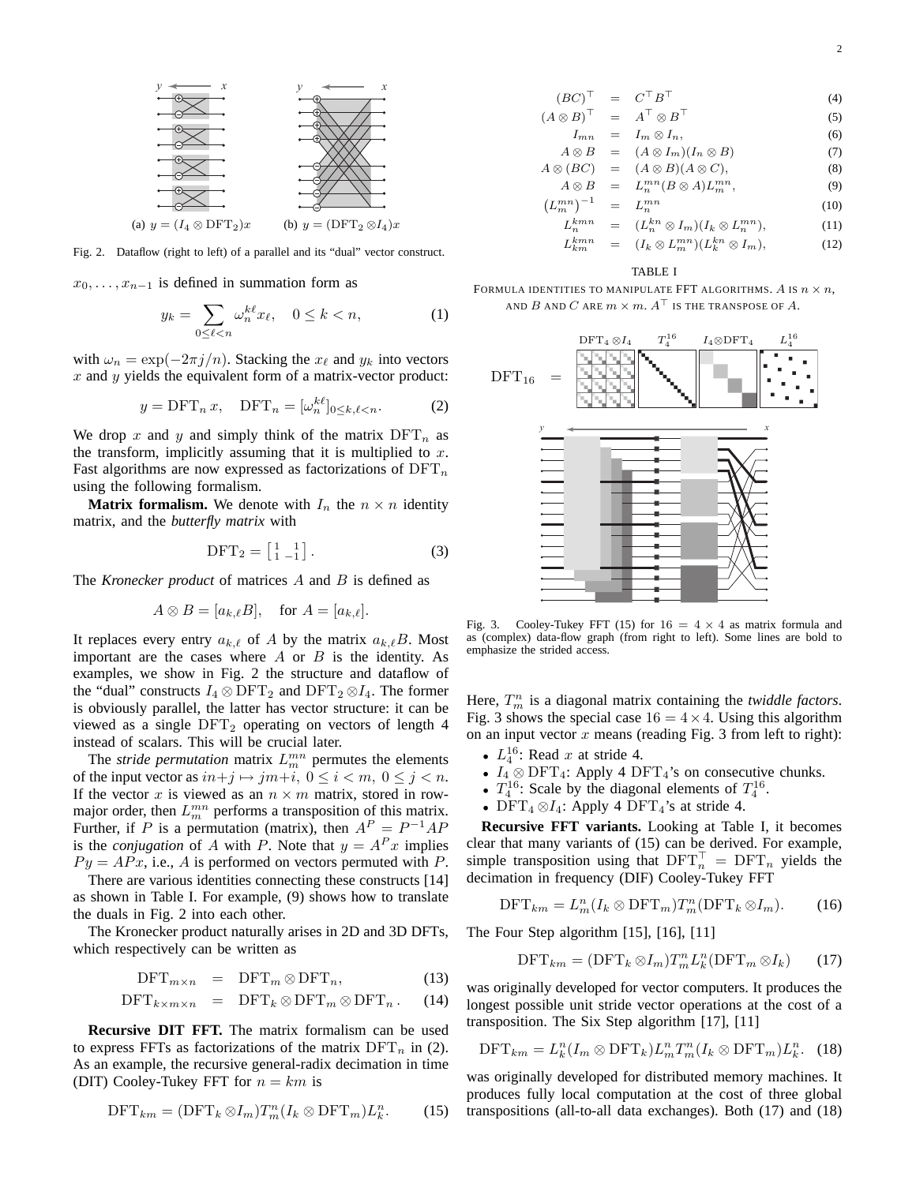

Fig. 2. Dataflow (right to left) of a parallel and its "dual" vector construct.

 $x_0, \ldots, x_{n-1}$  is defined in summation form as

$$
y_k = \sum_{0 \le \ell < n} \omega_n^{k\ell} x_\ell, \quad 0 \le k < n,\tag{1}
$$

with  $\omega_n = \exp(-2\pi j/n)$ . Stacking the  $x_\ell$  and  $y_k$  into vectors  $x$  and  $y$  yields the equivalent form of a matrix-vector product:

$$
y = \text{DFT}_n x, \quad \text{DFT}_n = [\omega_n^{k\ell}]_{0 \le k, \ell < n}.\tag{2}
$$

We drop x and y and simply think of the matrix  $DFT_n$  as the transform, implicitly assuming that it is multiplied to  $x$ . Fast algorithms are now expressed as factorizations of  $\text{DFT}_n$ using the following formalism.

**Matrix formalism.** We denote with  $I_n$  the  $n \times n$  identity matrix, and the *butterfly matrix* with

$$
DFT_2 = \begin{bmatrix} 1 & 1 \\ 1 & -1 \end{bmatrix} . \tag{3}
$$

The *Kronecker product* of matrices A and B is defined as

$$
A \otimes B = [a_{k,\ell}B], \quad \text{for } A = [a_{k,\ell}].
$$

It replaces every entry  $a_{k,\ell}$  of A by the matrix  $a_{k,\ell}B$ . Most important are the cases where  $A$  or  $B$  is the identity. As examples, we show in Fig. 2 the structure and dataflow of the "dual" constructs  $I_4 \otimes \text{DFT}_2$  and  $\text{DFT}_2 \otimes I_4$ . The former is obviously parallel, the latter has vector structure: it can be viewed as a single  $DFT_2$  operating on vectors of length 4 instead of scalars. This will be crucial later.

The *stride permutation* matrix  $L_m^{mn}$  permutes the elements of the input vector as  $in+j \mapsto jm+i, 0 \le i < m, 0 \le j < n$ . If the vector x is viewed as an  $n \times m$  matrix, stored in rowmajor order, then  $L_m^{mn}$  performs a transposition of this matrix. Further, if P is a permutation (matrix), then  $A^P = P^{-1}AP$ is the *conjugation* of A with P. Note that  $y = A^P x$  implies  $Py = APx$ , i.e., A is performed on vectors permuted with P.

There are various identities connecting these constructs [14] as shown in Table I. For example, (9) shows how to translate the duals in Fig. 2 into each other.

The Kronecker product naturally arises in 2D and 3D DFTs, which respectively can be written as

$$
\text{DFT}_{m \times n} = \text{DFT}_m \otimes \text{DFT}_n, \tag{13}
$$

$$
\text{DFT}_{k \times m \times n} = \text{DFT}_k \otimes \text{DFT}_m \otimes \text{DFT}_n. \quad (14)
$$

**Recursive DIT FFT.** The matrix formalism can be used to express FFTs as factorizations of the matrix  $DFT_n$  in (2). As an example, the recursive general-radix decimation in time (DIT) Cooley-Tukey FFT for  $n = km$  is

$$
\text{DFT}_{km} = (\text{DFT}_k \otimes I_m) T_m^n (I_k \otimes \text{DFT}_m) L_k^n. \tag{15}
$$

$$
(BC)^{\top} = C^{\top} B^{\top}
$$
 (4)

$$
(A \otimes B)^{\top} = A^{\top} \otimes B^{\top}
$$
 (5)

$$
I_{mn} = I_m \otimes I_n,
$$
  
\n
$$
A \otimes B = (A \otimes I_m)(I_n \otimes B)
$$
\n(6)

$$
A \otimes (BC) = (A \otimes B)(A \otimes C), \qquad (8)
$$

$$
A \otimes B = L_n^{mn}(B \otimes A)L_m^{mn}, \qquad (9)
$$

$$
\left(L_m^{mn}\right)^{-1} = L_n^{mn} \tag{10}
$$

$$
L_n^{kmn} = (L_n^{kn} \otimes I_m)(I_k \otimes L_n^{mn}), \qquad (11)
$$

$$
L_{km}^{kmn} = (I_k \otimes L_m^{mn})(L_k^{kn} \otimes I_m), \qquad (12)
$$

## TABLE I

FORMULA IDENTITIES TO MANIPULATE FFT ALGORITHMS. A IS  $n \times n$ , AND  $B$  and  $C$  are  $m \times m$ .  $A^{\top}$  is the transpose of  $A$ .



Fig. 3. Cooley-Tukey FFT (15) for  $16 = 4 \times 4$  as matrix formula and as (complex) data-flow graph (from right to left). Some lines are bold to emphasize the strided access.

Here,  $T_m^n$  is a diagonal matrix containing the *twiddle factors*. Fig. 3 shows the special case  $16 = 4 \times 4$ . Using this algorithm on an input vector  $x$  means (reading Fig. 3 from left to right):

- $L_4^{16}$ : Read x at stride 4.
- $I_4 \otimes \text{DFT}_4$ : Apply 4  $\text{DFT}_4$ 's on consecutive chunks.
- $T_4^{16}$ : Scale by the diagonal elements of  $T_4^{16}$ .
- DFT<sub>4</sub> $\otimes I_4$ : Apply 4 DFT<sub>4</sub>'s at stride 4.

**Recursive FFT variants.** Looking at Table I, it becomes clear that many variants of (15) can be derived. For example, simple transposition using that  $\text{DFT}_n^{\top} = \text{DFT}_n$  yields the decimation in frequency (DIF) Cooley-Tukey FFT

$$
\text{DFT}_{km} = L_m^n (I_k \otimes \text{DFT}_m) T_m^n (\text{DFT}_k \otimes I_m). \tag{16}
$$

The Four Step algorithm [15], [16], [11]

$$
\text{DFT}_{km} = (\text{DFT}_k \otimes I_m) T_m^n L_k^n (\text{DFT}_m \otimes I_k) \qquad (17)
$$

was originally developed for vector computers. It produces the longest possible unit stride vector operations at the cost of a transposition. The Six Step algorithm [17], [11]

$$
\text{DFT}_{km} = L_k^n(I_m \otimes \text{DFT}_k) L_m^n T_m^n(I_k \otimes \text{DFT}_m) L_k^n. \tag{18}
$$

was originally developed for distributed memory machines. It produces fully local computation at the cost of three global transpositions (all-to-all data exchanges). Both (17) and (18)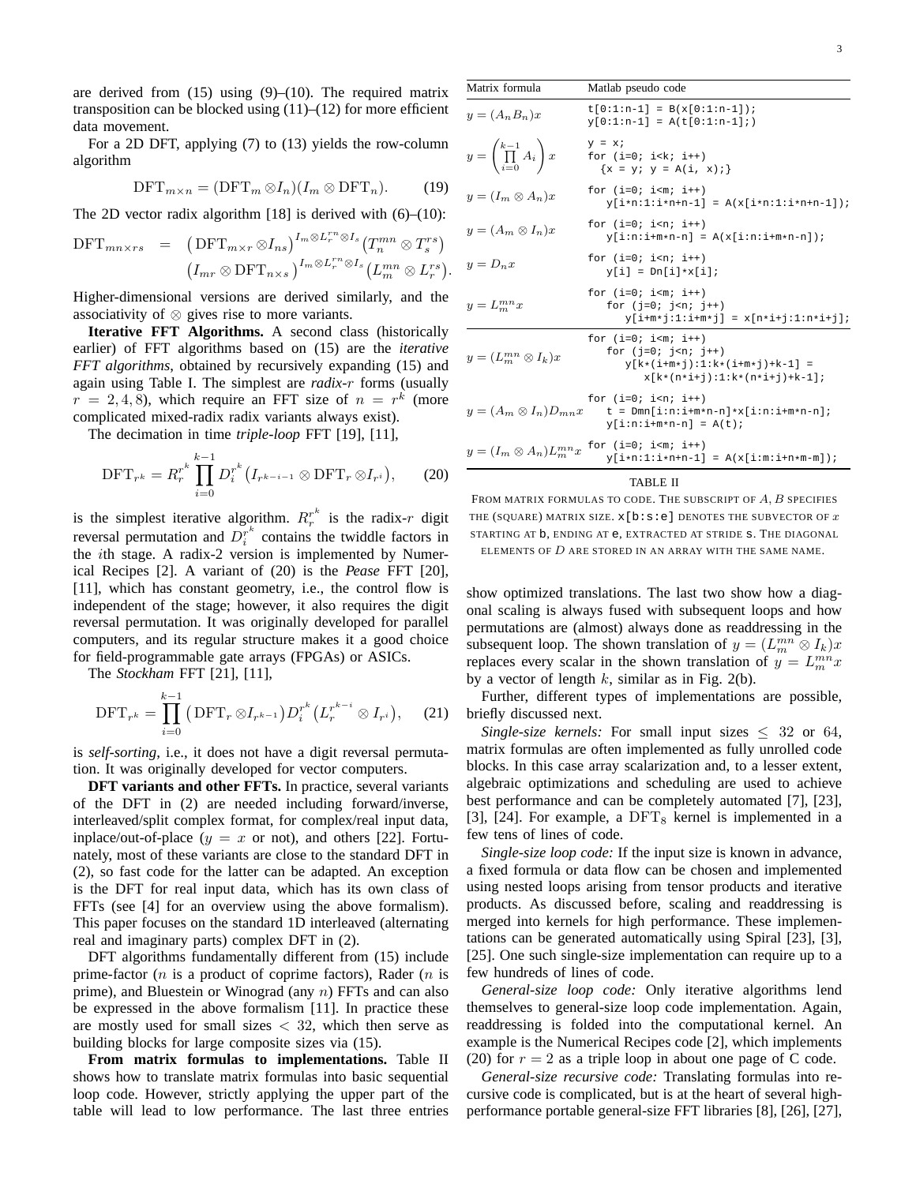are derived from  $(15)$  using  $(9)$ – $(10)$ . The required matrix transposition can be blocked using  $(11)–(12)$  for more efficient data movement.

For a 2D DFT, applying (7) to (13) yields the row-column algorithm

$$
\text{DFT}_{m \times n} = (\text{DFT}_m \otimes I_n)(I_m \otimes \text{DFT}_n). \tag{19}
$$

The 2D vector radix algorithm [18] is derived with  $(6)$ – $(10)$ :

$$
\text{DFT}_{mn \times rs} = (\text{DFT}_{m \times r} \otimes I_{ns})^{I_m \otimes L_r^{rn} \otimes I_s} (T_n^{mn} \otimes T_s^{rs})
$$

$$
(I_{mr} \otimes \text{DFT}_{n \times s})^{I_m \otimes L_r^{rn} \otimes I_s} (L_m^{mn} \otimes L_r^{rs}).
$$

Higher-dimensional versions are derived similarly, and the associativity of ⊗ gives rise to more variants.

**Iterative FFT Algorithms.** A second class (historically earlier) of FFT algorithms based on (15) are the *iterative FFT algorithms*, obtained by recursively expanding (15) and again using Table I. The simplest are *radix-*r forms (usually  $r = 2, 4, 8$ ), which require an FFT size of  $n = r^k$  (more complicated mixed-radix radix variants always exist).

The decimation in time *triple-loop* FFT [19], [11],

$$
\text{DFT}_{r^k} = R_r^{r^k} \prod_{i=0}^{k-1} D_i^{r^k} (I_{r^{k-i-1}} \otimes \text{DFT}_r \otimes I_{r^i}), \qquad (20)
$$

is the simplest iterative algorithm.  $R_r^{r^k}$  is the radix-r digit reversal permutation and  $D_i^{r^k}$  contains the twiddle factors in the ith stage. A radix-2 version is implemented by Numerical Recipes [2]. A variant of (20) is the *Pease* FFT [20], [11], which has constant geometry, i.e., the control flow is independent of the stage; however, it also requires the digit reversal permutation. It was originally developed for parallel computers, and its regular structure makes it a good choice for field-programmable gate arrays (FPGAs) or ASICs.

The *Stockham* FFT [21], [11],

$$
\text{DFT}_{r^k} = \prod_{i=0}^{k-1} \left( \text{DFT}_r \otimes I_{r^{k-1}} \right) D_i^{r^k} \left( L_r^{r^{k-i}} \otimes I_{r^i} \right), \quad (21)
$$

is *self-sorting*, i.e., it does not have a digit reversal permutation. It was originally developed for vector computers.

**DFT variants and other FFTs.** In practice, several variants of the DFT in (2) are needed including forward/inverse, interleaved/split complex format, for complex/real input data, inplace/out-of-place  $(y = x \text{ or } \text{not})$ , and others [22]. Fortunately, most of these variants are close to the standard DFT in (2), so fast code for the latter can be adapted. An exception is the DFT for real input data, which has its own class of FFTs (see [4] for an overview using the above formalism). This paper focuses on the standard 1D interleaved (alternating real and imaginary parts) complex DFT in (2).

DFT algorithms fundamentally different from (15) include prime-factor (*n* is a product of coprime factors), Rader (*n* is prime), and Bluestein or Winograd (any n) FFTs and can also be expressed in the above formalism [11]. In practice these are mostly used for small sizes  $<$  32, which then serve as building blocks for large composite sizes via (15).

**From matrix formulas to implementations.** Table II shows how to translate matrix formulas into basic sequential loop code. However, strictly applying the upper part of the table will lead to low performance. The last three entries

| Matrix formula                            | Matlab pseudo code                                                                                    |
|-------------------------------------------|-------------------------------------------------------------------------------------------------------|
| $y=(A_nB_n)x$                             | $t[0:1:n-1] = B(x[0:1:n-1]);$<br>$y[0:1:n-1] = A(t[0:1:n-1];)$                                        |
| $y = \left(\prod_{i=0}^{k-1} A_i\right)x$ | $y = xi$<br>for $(i=0; i< k; i++)$<br>$\{x = y; y = A(i, x); \}$                                      |
| $y=(I_m\otimes A_n)x$                     | for $(i=0; iy[i*n:1:i*n+n-1] = A(x[i*n:1:i*n+n-1]);$                                                  |
| $y=(A_m\otimes I_n)x$                     | for $(i=0; iy[i:n:i+m*n-n] = A(x[i:n:i+m*n-n]);$                                                      |
| $y = D_n x$                               | for $(i=0; iy[i] = Dn[i]*x[i];$                                                                       |
| $y = L_m^{mn}x$                           | for $(i=0; i\leq m; i++)$<br>for $(i=0; i \le n; i+1)$<br>$y[i+m* j:1:i+m* j] = x[n* i+j:1:n* i+j];$  |
| $y=(L_m^{mn}\otimes I_k)x$                | for $(i=0; i\leq m; i++)$<br>for $(j=0; jy[k*(i+m*1):1:k*(i+m*1)*k-1] =x[k*(n*i+j):1:k*(n*i+j)+k-1];$ |
| $y = (A_m \otimes I_n)D_{mn}x$            | for $(i=0; it = Dmn[i:n:i+m*n-n]*x[i:n:i+m*n-n];y[i:n:i+m*n-n] = A(t);$                               |
| $y = (I_m \otimes A_n)L_m^{mn}x$          | for $(i=0; iy[i*n:1:i*n+n-1] = A(x[i:m:i+n*m-m]);$                                                    |
| <b>TABLE II</b><br>$- - - - - 4$ D $- -$  |                                                                                                       |

FROM MATRIX FORMULAS TO CODE. THE SUBSCRIPT OF  $A, B$  SPECIFIES THE (SQUARE) MATRIX SIZE.  $x[b:s:e]$  DENOTES THE SUBVECTOR OF  $x$ STARTING AT b, ENDING AT e, EXTRACTED AT STRIDE s. THE DIAGONAL

ELEMENTS OF  $D$  are stored in an array with the same name.

show optimized translations. The last two show how a diagonal scaling is always fused with subsequent loops and how permutations are (almost) always done as readdressing in the subsequent loop. The shown translation of  $y = (L_m^{mn} \otimes I_k)x$ replaces every scalar in the shown translation of  $y = L_m^{mn}x$ by a vector of length  $k$ , similar as in Fig. 2(b).

Further, different types of implementations are possible, briefly discussed next.

*Single-size kernels:* For small input sizes  $\leq 32$  or 64, matrix formulas are often implemented as fully unrolled code blocks. In this case array scalarization and, to a lesser extent, algebraic optimizations and scheduling are used to achieve best performance and can be completely automated [7], [23], [3], [24]. For example, a  $DFT_8$  kernel is implemented in a few tens of lines of code.

*Single-size loop code:* If the input size is known in advance, a fixed formula or data flow can be chosen and implemented using nested loops arising from tensor products and iterative products. As discussed before, scaling and readdressing is merged into kernels for high performance. These implementations can be generated automatically using Spiral [23], [3], [25]. One such single-size implementation can require up to a few hundreds of lines of code.

*General-size loop code:* Only iterative algorithms lend themselves to general-size loop code implementation. Again, readdressing is folded into the computational kernel. An example is the Numerical Recipes code [2], which implements (20) for  $r = 2$  as a triple loop in about one page of C code.

*General-size recursive code:* Translating formulas into recursive code is complicated, but is at the heart of several highperformance portable general-size FFT libraries [8], [26], [27],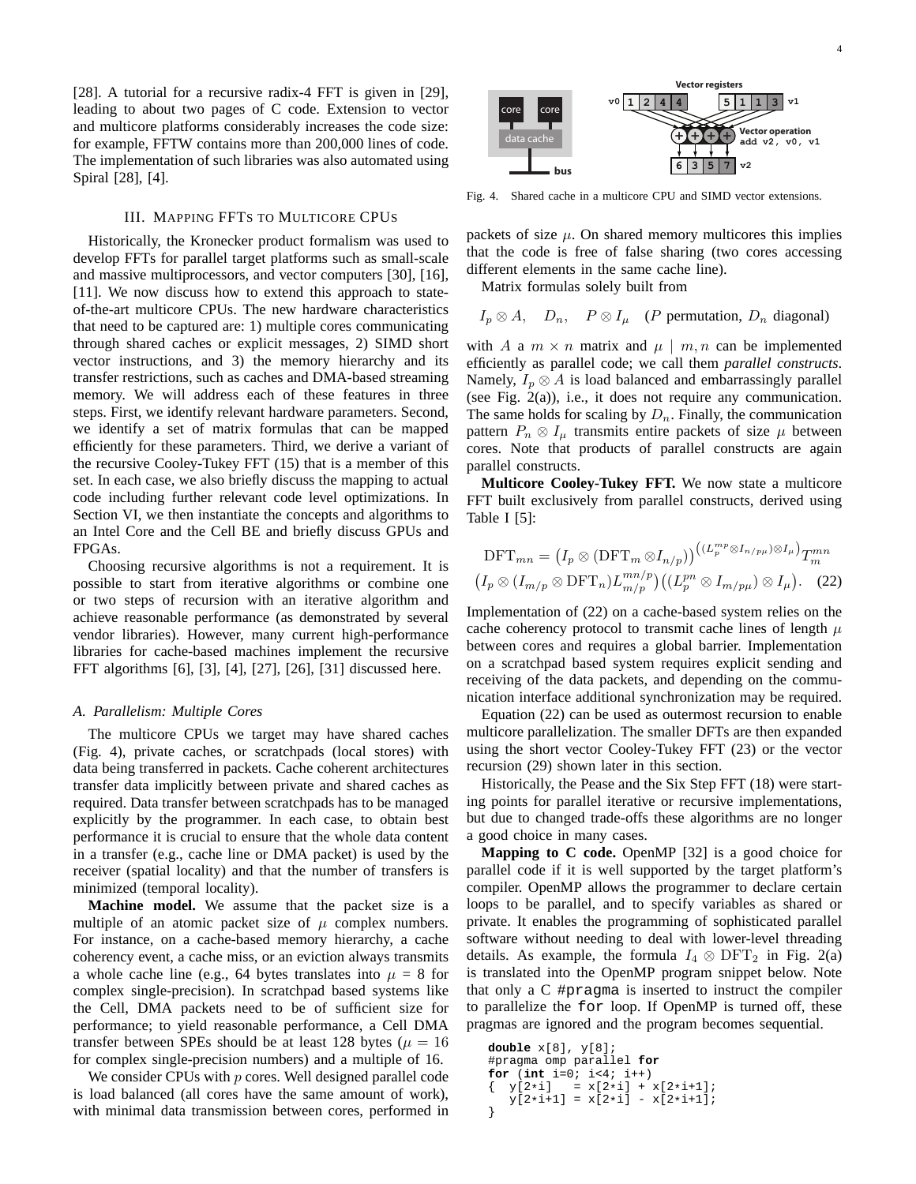[28]. A tutorial for a recursive radix-4 FFT is given in [29], leading to about two pages of C code. Extension to vector and multicore platforms considerably increases the code size: for example, FFTW contains more than 200,000 lines of code. The implementation of such libraries was also automated using Spiral [28], [4].

#### III. MAPPING FFTS TO MULTICORE CPUS

Historically, the Kronecker product formalism was used to develop FFTs for parallel target platforms such as small-scale and massive multiprocessors, and vector computers [30], [16], [11]. We now discuss how to extend this approach to stateof-the-art multicore CPUs. The new hardware characteristics that need to be captured are: 1) multiple cores communicating through shared caches or explicit messages, 2) SIMD short vector instructions, and 3) the memory hierarchy and its transfer restrictions, such as caches and DMA-based streaming memory. We will address each of these features in three steps. First, we identify relevant hardware parameters. Second, we identify a set of matrix formulas that can be mapped efficiently for these parameters. Third, we derive a variant of the recursive Cooley-Tukey FFT (15) that is a member of this set. In each case, we also briefly discuss the mapping to actual code including further relevant code level optimizations. In Section VI, we then instantiate the concepts and algorithms to an Intel Core and the Cell BE and briefly discuss GPUs and FPGAs.

Choosing recursive algorithms is not a requirement. It is possible to start from iterative algorithms or combine one or two steps of recursion with an iterative algorithm and achieve reasonable performance (as demonstrated by several vendor libraries). However, many current high-performance libraries for cache-based machines implement the recursive FFT algorithms [6], [3], [4], [27], [26], [31] discussed here.

## *A. Parallelism: Multiple Cores*

The multicore CPUs we target may have shared caches (Fig. 4), private caches, or scratchpads (local stores) with data being transferred in packets. Cache coherent architectures transfer data implicitly between private and shared caches as required. Data transfer between scratchpads has to be managed explicitly by the programmer. In each case, to obtain best performance it is crucial to ensure that the whole data content in a transfer (e.g., cache line or DMA packet) is used by the receiver (spatial locality) and that the number of transfers is minimized (temporal locality).

**Machine model.** We assume that the packet size is a multiple of an atomic packet size of  $\mu$  complex numbers. For instance, on a cache-based memory hierarchy, a cache coherency event, a cache miss, or an eviction always transmits a whole cache line (e.g., 64 bytes translates into  $\mu = 8$  for complex single-precision). In scratchpad based systems like the Cell, DMA packets need to be of sufficient size for performance; to yield reasonable performance, a Cell DMA transfer between SPEs should be at least 128 bytes ( $\mu = 16$ ) for complex single-precision numbers) and a multiple of 16.

We consider CPUs with  $p$  cores. Well designed parallel code is load balanced (all cores have the same amount of work), with minimal data transmission between cores, performed in



Fig. 4. Shared cache in a multicore CPU and SIMD vector extensions.

packets of size  $\mu$ . On shared memory multicores this implies that the code is free of false sharing (two cores accessing different elements in the same cache line).

Matrix formulas solely built from

$$
I_p \otimes A
$$
,  $D_n$ ,  $P \otimes I_\mu$  (*P* permutation,  $D_n$  diagonal)

with A a  $m \times n$  matrix and  $\mu \mid m, n$  can be implemented efficiently as parallel code; we call them *parallel constructs*. Namely,  $I_p \otimes A$  is load balanced and embarrassingly parallel (see Fig. 2(a)), i.e., it does not require any communication. The same holds for scaling by  $D_n$ . Finally, the communication pattern  $P_n \otimes I_\mu$  transmits entire packets of size  $\mu$  between cores. Note that products of parallel constructs are again parallel constructs.

**Multicore Cooley-Tukey FFT.** We now state a multicore FFT built exclusively from parallel constructs, derived using Table I [5]:

$$
\text{DFT}_{mn} = (I_p \otimes (\text{DFT}_m \otimes I_{n/p}))^{((L_p^{mp} \otimes I_{n/p\mu}) \otimes I_{\mu})} T_m^{mn}
$$

$$
(I_p \otimes (I_{m/p} \otimes \text{DFT}_n) L_{m/p}^{mn/p}) ((L_p^{pn} \otimes I_{m/p\mu}) \otimes I_{\mu}).
$$
 (22)

Implementation of (22) on a cache-based system relies on the cache coherency protocol to transmit cache lines of length  $\mu$ between cores and requires a global barrier. Implementation on a scratchpad based system requires explicit sending and receiving of the data packets, and depending on the communication interface additional synchronization may be required.

Equation (22) can be used as outermost recursion to enable multicore parallelization. The smaller DFTs are then expanded using the short vector Cooley-Tukey FFT (23) or the vector recursion (29) shown later in this section.

Historically, the Pease and the Six Step FFT (18) were starting points for parallel iterative or recursive implementations, but due to changed trade-offs these algorithms are no longer a good choice in many cases.

**Mapping to C code.** OpenMP [32] is a good choice for parallel code if it is well supported by the target platform's compiler. OpenMP allows the programmer to declare certain loops to be parallel, and to specify variables as shared or private. It enables the programming of sophisticated parallel software without needing to deal with lower-level threading details. As example, the formula  $I_4 \otimes \text{DFT}_2$  in Fig. 2(a) is translated into the OpenMP program snippet below. Note that only a C #pragma is inserted to instruct the compiler to parallelize the for loop. If OpenMP is turned off, these pragmas are ignored and the program becomes sequential.

```
double x[8], y[8];
#pragma omp parallel for
for (int i=0; i<4; i++)
  y[2*i] = x[2*i] + x[2*i+1];y[2+i+1] = x[2+i] - x[2+i+1];}
```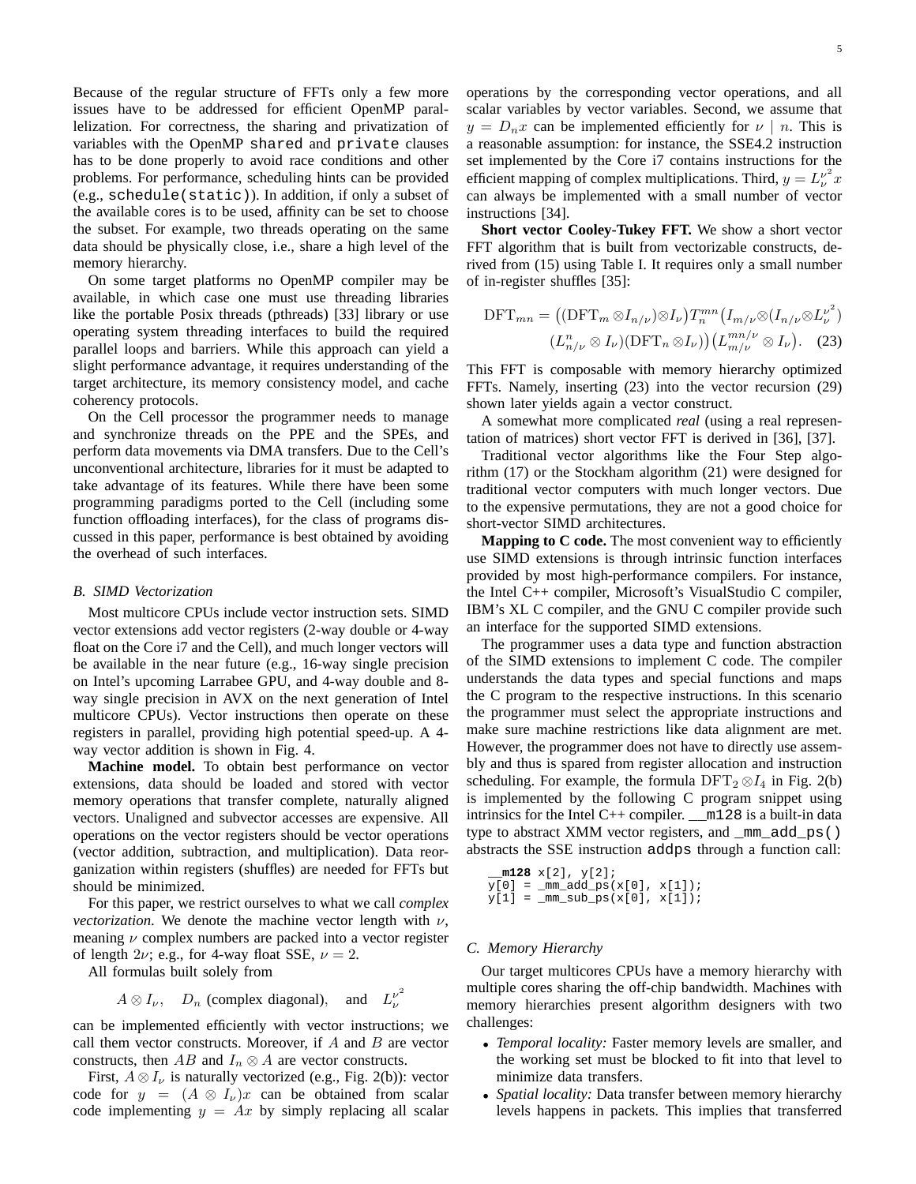Because of the regular structure of FFTs only a few more issues have to be addressed for efficient OpenMP parallelization. For correctness, the sharing and privatization of variables with the OpenMP shared and private clauses has to be done properly to avoid race conditions and other problems. For performance, scheduling hints can be provided (e.g., schedule(static)). In addition, if only a subset of the available cores is to be used, affinity can be set to choose the subset. For example, two threads operating on the same data should be physically close, i.e., share a high level of the memory hierarchy.

On some target platforms no OpenMP compiler may be available, in which case one must use threading libraries like the portable Posix threads (pthreads) [33] library or use operating system threading interfaces to build the required parallel loops and barriers. While this approach can yield a slight performance advantage, it requires understanding of the target architecture, its memory consistency model, and cache coherency protocols.

On the Cell processor the programmer needs to manage and synchronize threads on the PPE and the SPEs, and perform data movements via DMA transfers. Due to the Cell's unconventional architecture, libraries for it must be adapted to take advantage of its features. While there have been some programming paradigms ported to the Cell (including some function offloading interfaces), for the class of programs discussed in this paper, performance is best obtained by avoiding the overhead of such interfaces.

#### *B. SIMD Vectorization*

Most multicore CPUs include vector instruction sets. SIMD vector extensions add vector registers (2-way double or 4-way float on the Core i7 and the Cell), and much longer vectors will be available in the near future (e.g., 16-way single precision on Intel's upcoming Larrabee GPU, and 4-way double and 8 way single precision in AVX on the next generation of Intel multicore CPUs). Vector instructions then operate on these registers in parallel, providing high potential speed-up. A 4 way vector addition is shown in Fig. 4.

**Machine model.** To obtain best performance on vector extensions, data should be loaded and stored with vector memory operations that transfer complete, naturally aligned vectors. Unaligned and subvector accesses are expensive. All operations on the vector registers should be vector operations (vector addition, subtraction, and multiplication). Data reorganization within registers (shuffles) are needed for FFTs but should be minimized.

For this paper, we restrict ourselves to what we call *complex vectorization*. We denote the machine vector length with  $\nu$ , meaning  $\nu$  complex numbers are packed into a vector register of length  $2\nu$ ; e.g., for 4-way float SSE,  $\nu = 2$ .

All formulas built solely from

$$
A \otimes I_{\nu}
$$
,  $D_n$  (complex diagonal), and  $L_{\nu}^{\nu^2}$ 

can be implemented efficiently with vector instructions; we call them vector constructs. Moreover, if  $A$  and  $B$  are vector constructs, then AB and  $I_n \otimes A$  are vector constructs.

First,  $A \otimes I_{\nu}$  is naturally vectorized (e.g., Fig. 2(b)): vector code for  $y = (A \otimes I_\nu)x$  can be obtained from scalar code implementing  $y = Ax$  by simply replacing all scalar

efficient mapping of complex multiplications. Third,  $y = L_{\nu}^{\nu^2} x$ can always be implemented with a small number of vector instructions [34]. **Short vector Cooley-Tukey FFT.** We show a short vector FFT algorithm that is built from vectorizable constructs, derived from (15) using Table I. It requires only a small number

of in-register shuffles [35]:

$$
\text{DFT}_{mn} = ((\text{DFT}_{m} \otimes I_{n/\nu}) \otimes I_{\nu}) T_{n}^{mn} (I_{m/\nu} \otimes (I_{n/\nu} \otimes L_{\nu}^{\nu^{2}}))
$$

$$
(L_{n/\nu}^{n} \otimes I_{\nu})(\text{DFT}_{n} \otimes I_{\nu})) (L_{m/\nu}^{mn/\nu} \otimes I_{\nu}). \quad (23)
$$

This FFT is composable with memory hierarchy optimized FFTs. Namely, inserting (23) into the vector recursion (29) shown later yields again a vector construct.

A somewhat more complicated *real* (using a real representation of matrices) short vector FFT is derived in [36], [37].

Traditional vector algorithms like the Four Step algorithm (17) or the Stockham algorithm (21) were designed for traditional vector computers with much longer vectors. Due to the expensive permutations, they are not a good choice for short-vector SIMD architectures.

**Mapping to C code.** The most convenient way to efficiently use SIMD extensions is through intrinsic function interfaces provided by most high-performance compilers. For instance, the Intel C++ compiler, Microsoft's VisualStudio C compiler, IBM's XL C compiler, and the GNU C compiler provide such an interface for the supported SIMD extensions.

The programmer uses a data type and function abstraction of the SIMD extensions to implement C code. The compiler understands the data types and special functions and maps the C program to the respective instructions. In this scenario the programmer must select the appropriate instructions and make sure machine restrictions like data alignment are met. However, the programmer does not have to directly use assembly and thus is spared from register allocation and instruction scheduling. For example, the formula  $DFT_2 \otimes I_4$  in Fig. 2(b) is implemented by the following C program snippet using intrinsics for the Intel C++ compiler. \_\_m128 is a built-in data type to abstract XMM vector registers, and \_mm\_add\_ps() abstracts the SSE instruction addps through a function call:

**\_\_m128** x[2], y[2];  $y[0] = \text{mm\_add\_ps}(x[0], x[1]);$  $y[1] = \text{mm\_sub\_ps}(x[0], x[1]);$ 

## *C. Memory Hierarchy*

Our target multicores CPUs have a memory hierarchy with multiple cores sharing the off-chip bandwidth. Machines with memory hierarchies present algorithm designers with two challenges:

- *Temporal locality:* Faster memory levels are smaller, and the working set must be blocked to fit into that level to minimize data transfers.
- *Spatial locality:* Data transfer between memory hierarchy levels happens in packets. This implies that transferred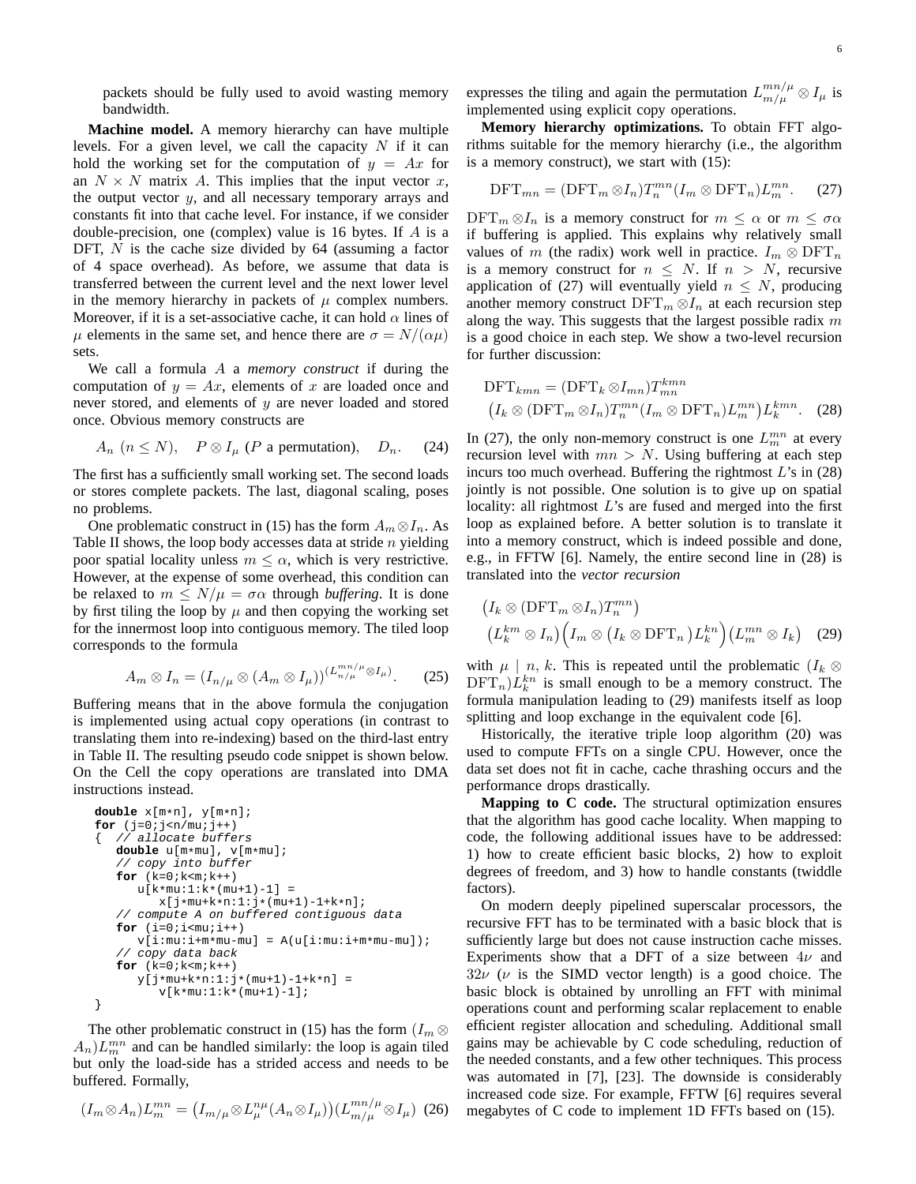packets should be fully used to avoid wasting memory bandwidth.

**Machine model.** A memory hierarchy can have multiple levels. For a given level, we call the capacity  $N$  if it can hold the working set for the computation of  $y = Ax$  for an  $N \times N$  matrix A. This implies that the input vector x, the output vector  $y$ , and all necessary temporary arrays and constants fit into that cache level. For instance, if we consider double-precision, one (complex) value is 16 bytes. If A is a DFT,  $N$  is the cache size divided by 64 (assuming a factor of 4 space overhead). As before, we assume that data is transferred between the current level and the next lower level in the memory hierarchy in packets of  $\mu$  complex numbers. Moreover, if it is a set-associative cache, it can hold  $\alpha$  lines of  $\mu$  elements in the same set, and hence there are  $\sigma = N/(\alpha \mu)$ sets.

We call a formula A a *memory construct* if during the computation of  $y = Ax$ , elements of x are loaded once and never stored, and elements of  $y$  are never loaded and stored once. Obvious memory constructs are

$$
A_n \ (n \le N), \quad P \otimes I_\mu \ (P \text{ a permutation}), \quad D_n. \tag{24}
$$

The first has a sufficiently small working set. The second loads or stores complete packets. The last, diagonal scaling, poses no problems.

One problematic construct in (15) has the form  $A_m \otimes I_n$ . As Table II shows, the loop body accesses data at stride  $n$  yielding poor spatial locality unless  $m \leq \alpha$ , which is very restrictive. However, at the expense of some overhead, this condition can be relaxed to  $m \leq N/\mu = \sigma \alpha$  through *buffering*. It is done by first tiling the loop by  $\mu$  and then copying the working set for the innermost loop into contiguous memory. The tiled loop corresponds to the formula

$$
A_m \otimes I_n = (I_{n/\mu} \otimes (A_m \otimes I_\mu))^{(L_{n/\mu}^{mn/\mu} \otimes I_\mu)}.
$$
 (25)

Buffering means that in the above formula the conjugation is implemented using actual copy operations (in contrast to translating them into re-indexing) based on the third-last entry in Table II. The resulting pseudo code snippet is shown below. On the Cell the copy operations are translated into DMA instructions instead.

```
double x[m*n], y[m*n];
for (j=0; j < n / mu; j++){ // allocate buffers
   double u[m*mu], v[m*mu];
   // copy into buffer
   for (k=0; k < m; k++)u[k*mu:1:k*(mu+1)-1] =x[j*mu+k*n:1:j*(mu+1)-1+k*n];
   // compute A on buffered contiguous data
   for (i=0; i < \text{mu}; i++)v[i:mu:i+m*mu-mu] = A(u[i:mu:i+m*mu-mu]);
   // copy data back
   for (k=0; k < m; k++)y[j*mu+k*n:1:j*(mu+1)-1+k*n] =v[k*mu:1:k*(mu+1)-1];
}
```
The other problematic construct in (15) has the form  $(I_m \otimes$  $(A_n)L_m^{mn}$  and can be handled similarly: the loop is again tiled but only the load-side has a strided access and needs to be buffered. Formally,

$$
(I_m \otimes A_n)L_m^{mn} = (I_{m/\mu} \otimes L_{\mu}^{n\mu}(A_n \otimes I_{\mu})) (L_{m/\mu}^{mn/\mu} \otimes I_{\mu}) \tag{26}
$$

expresses the tiling and again the permutation  $L_{m/\mu}^{mn/\mu} \otimes I_{\mu}$  is implemented using explicit copy operations.

**Memory hierarchy optimizations.** To obtain FFT algorithms suitable for the memory hierarchy (i.e., the algorithm is a memory construct), we start with (15):

$$
\text{DFT}_{mn} = (\text{DFT}_m \otimes I_n) T_n^{mn} (I_m \otimes \text{DFT}_n) L_m^{mn}.
$$
 (27)

 $\text{DFT}_m \otimes I_n$  is a memory construct for  $m \leq \alpha$  or  $m \leq \sigma \alpha$ if buffering is applied. This explains why relatively small values of m (the radix) work well in practice.  $I_m \otimes DFT_n$ is a memory construct for  $n \leq N$ . If  $n > N$ , recursive application of (27) will eventually yield  $n \leq N$ , producing another memory construct DFT $_m \otimes I_n$  at each recursion step along the way. This suggests that the largest possible radix  $m$ is a good choice in each step. We show a two-level recursion for further discussion:

$$
\text{DFT}_{kmn} = (\text{DFT}_k \otimes I_{mn}) T_{mn}^{kmn}
$$
  

$$
(I_k \otimes (\text{DFT}_m \otimes I_n) T_n^{mn} (I_m \otimes \text{DFT}_n) L_m^{mn}) L_k^{kmn}.
$$
 (28)

In (27), the only non-memory construct is one  $L_m^{mn}$  at every recursion level with  $mn > N$ . Using buffering at each step incurs too much overhead. Buffering the rightmost  $L$ 's in  $(28)$ jointly is not possible. One solution is to give up on spatial locality: all rightmost L's are fused and merged into the first loop as explained before. A better solution is to translate it into a memory construct, which is indeed possible and done, e.g., in FFTW [6]. Namely, the entire second line in (28) is translated into the *vector recursion*

$$
\left(I_k \otimes (\text{DFT}_m \otimes I_n) T_n^{mn}\right)
$$
  

$$
\left(L_k^{km} \otimes I_n\right) \left(I_m \otimes \left(I_k \otimes \text{DFT}_n\right) L_k^{kn}\right) \left(L_m^{mn} \otimes I_k\right) \quad (29)
$$

with  $\mu \mid n, k$ . This is repeated until the problematic  $(I_k \otimes$  $\text{DFT}_n \right) L_k^{kn}$  is small enough to be a memory construct. The formula manipulation leading to (29) manifests itself as loop splitting and loop exchange in the equivalent code [6].

Historically, the iterative triple loop algorithm (20) was used to compute FFTs on a single CPU. However, once the data set does not fit in cache, cache thrashing occurs and the performance drops drastically.

**Mapping to C code.** The structural optimization ensures that the algorithm has good cache locality. When mapping to code, the following additional issues have to be addressed: 1) how to create efficient basic blocks, 2) how to exploit degrees of freedom, and 3) how to handle constants (twiddle factors).

On modern deeply pipelined superscalar processors, the recursive FFT has to be terminated with a basic block that is sufficiently large but does not cause instruction cache misses. Experiments show that a DFT of a size between  $4\nu$  and  $32\nu$  ( $\nu$  is the SIMD vector length) is a good choice. The basic block is obtained by unrolling an FFT with minimal operations count and performing scalar replacement to enable efficient register allocation and scheduling. Additional small gains may be achievable by C code scheduling, reduction of the needed constants, and a few other techniques. This process was automated in [7], [23]. The downside is considerably increased code size. For example, FFTW [6] requires several megabytes of C code to implement 1D FFTs based on (15).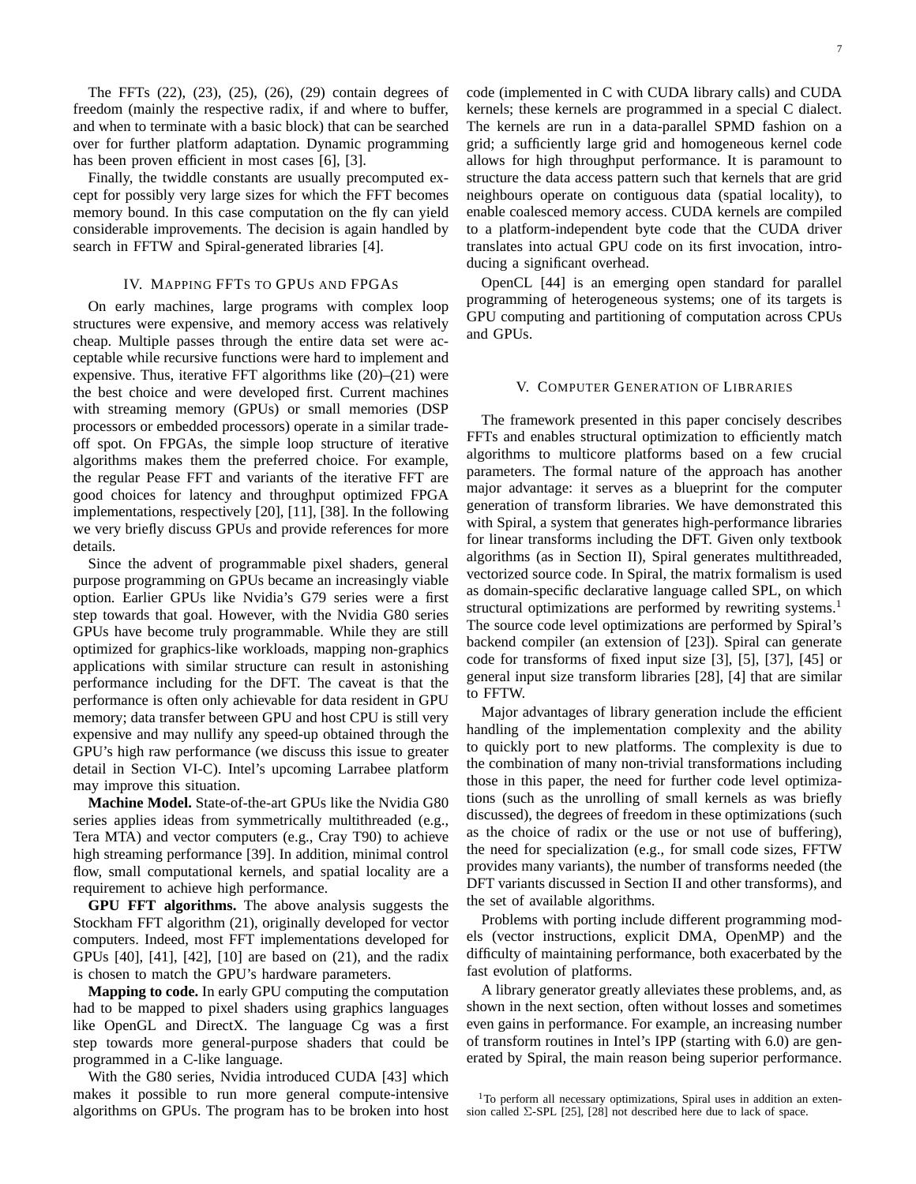The FFTs (22), (23), (25), (26), (29) contain degrees of freedom (mainly the respective radix, if and where to buffer, and when to terminate with a basic block) that can be searched over for further platform adaptation. Dynamic programming has been proven efficient in most cases [6], [3].

Finally, the twiddle constants are usually precomputed except for possibly very large sizes for which the FFT becomes memory bound. In this case computation on the fly can yield considerable improvements. The decision is again handled by search in FFTW and Spiral-generated libraries [4].

## IV. MAPPING FFTS TO GPUS AND FPGAS

On early machines, large programs with complex loop structures were expensive, and memory access was relatively cheap. Multiple passes through the entire data set were acceptable while recursive functions were hard to implement and expensive. Thus, iterative FFT algorithms like  $(20)$ – $(21)$  were the best choice and were developed first. Current machines with streaming memory (GPUs) or small memories (DSP processors or embedded processors) operate in a similar tradeoff spot. On FPGAs, the simple loop structure of iterative algorithms makes them the preferred choice. For example, the regular Pease FFT and variants of the iterative FFT are good choices for latency and throughput optimized FPGA implementations, respectively [20], [11], [38]. In the following we very briefly discuss GPUs and provide references for more details.

Since the advent of programmable pixel shaders, general purpose programming on GPUs became an increasingly viable option. Earlier GPUs like Nvidia's G79 series were a first step towards that goal. However, with the Nvidia G80 series GPUs have become truly programmable. While they are still optimized for graphics-like workloads, mapping non-graphics applications with similar structure can result in astonishing performance including for the DFT. The caveat is that the performance is often only achievable for data resident in GPU memory; data transfer between GPU and host CPU is still very expensive and may nullify any speed-up obtained through the GPU's high raw performance (we discuss this issue to greater detail in Section VI-C). Intel's upcoming Larrabee platform may improve this situation.

**Machine Model.** State-of-the-art GPUs like the Nvidia G80 series applies ideas from symmetrically multithreaded (e.g., Tera MTA) and vector computers (e.g., Cray T90) to achieve high streaming performance [39]. In addition, minimal control flow, small computational kernels, and spatial locality are a requirement to achieve high performance.

**GPU FFT algorithms.** The above analysis suggests the Stockham FFT algorithm (21), originally developed for vector computers. Indeed, most FFT implementations developed for GPUs [40], [41], [42], [10] are based on (21), and the radix is chosen to match the GPU's hardware parameters.

**Mapping to code.** In early GPU computing the computation had to be mapped to pixel shaders using graphics languages like OpenGL and DirectX. The language Cg was a first step towards more general-purpose shaders that could be programmed in a C-like language.

With the G80 series, Nvidia introduced CUDA [43] which makes it possible to run more general compute-intensive algorithms on GPUs. The program has to be broken into host code (implemented in C with CUDA library calls) and CUDA kernels; these kernels are programmed in a special C dialect. The kernels are run in a data-parallel SPMD fashion on a grid; a sufficiently large grid and homogeneous kernel code allows for high throughput performance. It is paramount to structure the data access pattern such that kernels that are grid neighbours operate on contiguous data (spatial locality), to enable coalesced memory access. CUDA kernels are compiled to a platform-independent byte code that the CUDA driver translates into actual GPU code on its first invocation, introducing a significant overhead.

OpenCL [44] is an emerging open standard for parallel programming of heterogeneous systems; one of its targets is GPU computing and partitioning of computation across CPUs and GPUs.

## V. COMPUTER GENERATION OF LIBRARIES

The framework presented in this paper concisely describes FFTs and enables structural optimization to efficiently match algorithms to multicore platforms based on a few crucial parameters. The formal nature of the approach has another major advantage: it serves as a blueprint for the computer generation of transform libraries. We have demonstrated this with Spiral, a system that generates high-performance libraries for linear transforms including the DFT. Given only textbook algorithms (as in Section II), Spiral generates multithreaded, vectorized source code. In Spiral, the matrix formalism is used as domain-specific declarative language called SPL, on which structural optimizations are performed by rewriting systems.<sup>1</sup> The source code level optimizations are performed by Spiral's backend compiler (an extension of [23]). Spiral can generate code for transforms of fixed input size [3], [5], [37], [45] or general input size transform libraries [28], [4] that are similar to FFTW.

Major advantages of library generation include the efficient handling of the implementation complexity and the ability to quickly port to new platforms. The complexity is due to the combination of many non-trivial transformations including those in this paper, the need for further code level optimizations (such as the unrolling of small kernels as was briefly discussed), the degrees of freedom in these optimizations (such as the choice of radix or the use or not use of buffering), the need for specialization (e.g., for small code sizes, FFTW provides many variants), the number of transforms needed (the DFT variants discussed in Section II and other transforms), and the set of available algorithms.

Problems with porting include different programming models (vector instructions, explicit DMA, OpenMP) and the difficulty of maintaining performance, both exacerbated by the fast evolution of platforms.

A library generator greatly alleviates these problems, and, as shown in the next section, often without losses and sometimes even gains in performance. For example, an increasing number of transform routines in Intel's IPP (starting with 6.0) are generated by Spiral, the main reason being superior performance.

<sup>&</sup>lt;sup>1</sup>To perform all necessary optimizations, Spiral uses in addition an extension called  $\Sigma$ -SPL [25], [28] not described here due to lack of space.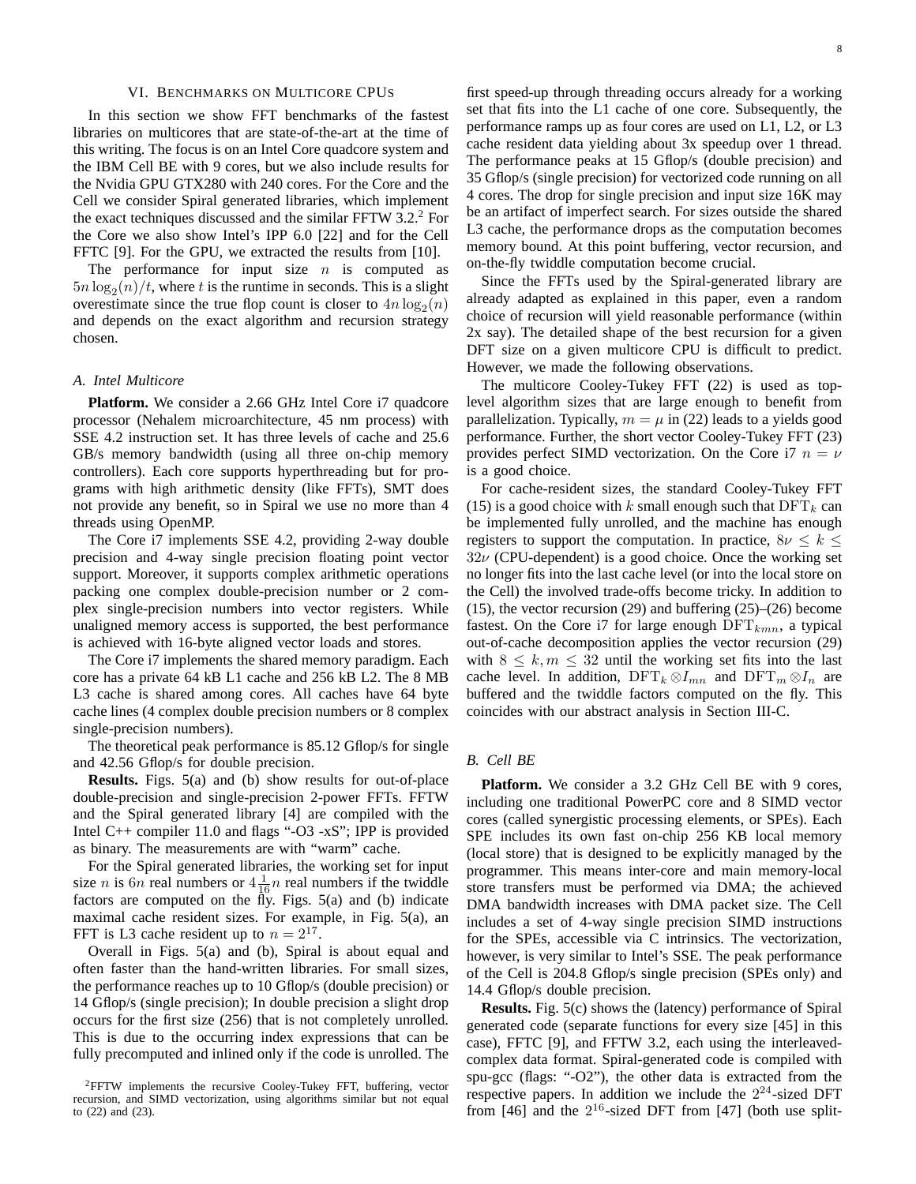#### VI. BENCHMARKS ON MULTICORE CPUS

In this section we show FFT benchmarks of the fastest libraries on multicores that are state-of-the-art at the time of this writing. The focus is on an Intel Core quadcore system and the IBM Cell BE with 9 cores, but we also include results for the Nvidia GPU GTX280 with 240 cores. For the Core and the Cell we consider Spiral generated libraries, which implement the exact techniques discussed and the similar FFTW  $3.2<sup>2</sup>$  For the Core we also show Intel's IPP 6.0 [22] and for the Cell FFTC [9]. For the GPU, we extracted the results from [10].

The performance for input size  $n$  is computed as  $5n \log_2(n)/t$ , where t is the runtime in seconds. This is a slight overestimate since the true flop count is closer to  $4n \log_2(n)$ and depends on the exact algorithm and recursion strategy chosen.

#### *A. Intel Multicore*

**Platform.** We consider a 2.66 GHz Intel Core i7 quadcore processor (Nehalem microarchitecture, 45 nm process) with SSE 4.2 instruction set. It has three levels of cache and 25.6 GB/s memory bandwidth (using all three on-chip memory controllers). Each core supports hyperthreading but for programs with high arithmetic density (like FFTs), SMT does not provide any benefit, so in Spiral we use no more than 4 threads using OpenMP.

The Core i7 implements SSE 4.2, providing 2-way double precision and 4-way single precision floating point vector support. Moreover, it supports complex arithmetic operations packing one complex double-precision number or 2 complex single-precision numbers into vector registers. While unaligned memory access is supported, the best performance is achieved with 16-byte aligned vector loads and stores.

The Core i7 implements the shared memory paradigm. Each core has a private 64 kB L1 cache and 256 kB L2. The 8 MB L3 cache is shared among cores. All caches have 64 byte cache lines (4 complex double precision numbers or 8 complex single-precision numbers).

The theoretical peak performance is 85.12 Gflop/s for single and 42.56 Gflop/s for double precision.

**Results.** Figs. 5(a) and (b) show results for out-of-place double-precision and single-precision 2-power FFTs. FFTW and the Spiral generated library [4] are compiled with the Intel C++ compiler 11.0 and flags "-O3 -xS"; IPP is provided as binary. The measurements are with "warm" cache.

For the Spiral generated libraries, the working set for input size *n* is 6*n* real numbers or  $4\frac{1}{16}n$  real numbers if the twiddle factors are computed on the  $\tilde{H}y$ . Figs. 5(a) and (b) indicate maximal cache resident sizes. For example, in Fig. 5(a), an FFT is L3 cache resident up to  $n = 2^{17}$ .

Overall in Figs. 5(a) and (b), Spiral is about equal and often faster than the hand-written libraries. For small sizes, the performance reaches up to 10 Gflop/s (double precision) or 14 Gflop/s (single precision); In double precision a slight drop occurs for the first size (256) that is not completely unrolled. This is due to the occurring index expressions that can be fully precomputed and inlined only if the code is unrolled. The 8

first speed-up through threading occurs already for a working set that fits into the L1 cache of one core. Subsequently, the performance ramps up as four cores are used on L1, L2, or L3 cache resident data yielding about 3x speedup over 1 thread. The performance peaks at 15 Gflop/s (double precision) and 35 Gflop/s (single precision) for vectorized code running on all 4 cores. The drop for single precision and input size 16K may be an artifact of imperfect search. For sizes outside the shared L3 cache, the performance drops as the computation becomes memory bound. At this point buffering, vector recursion, and on-the-fly twiddle computation become crucial.

Since the FFTs used by the Spiral-generated library are already adapted as explained in this paper, even a random choice of recursion will yield reasonable performance (within 2x say). The detailed shape of the best recursion for a given DFT size on a given multicore CPU is difficult to predict. However, we made the following observations.

The multicore Cooley-Tukey FFT (22) is used as toplevel algorithm sizes that are large enough to benefit from parallelization. Typically,  $m = \mu$  in (22) leads to a yields good performance. Further, the short vector Cooley-Tukey FFT (23) provides perfect SIMD vectorization. On the Core i7  $n = \nu$ is a good choice.

For cache-resident sizes, the standard Cooley-Tukey FFT (15) is a good choice with k small enough such that  $\text{DFT}_k$  can be implemented fully unrolled, and the machine has enough registers to support the computation. In practice,  $8\nu \leq k \leq$  $32\nu$  (CPU-dependent) is a good choice. Once the working set no longer fits into the last cache level (or into the local store on the Cell) the involved trade-offs become tricky. In addition to (15), the vector recursion (29) and buffering  $(25)$ – $(26)$  become fastest. On the Core i7 for large enough  $DFT_{kmn}$ , a typical out-of-cache decomposition applies the vector recursion (29) with  $8 \leq k, m \leq 32$  until the working set fits into the last cache level. In addition,  $DFT_k \otimes I_{mn}$  and  $DFT_m \otimes I_n$  are buffered and the twiddle factors computed on the fly. This coincides with our abstract analysis in Section III-C.

#### *B. Cell BE*

Platform. We consider a 3.2 GHz Cell BE with 9 cores, including one traditional PowerPC core and 8 SIMD vector cores (called synergistic processing elements, or SPEs). Each SPE includes its own fast on-chip 256 KB local memory (local store) that is designed to be explicitly managed by the programmer. This means inter-core and main memory-local store transfers must be performed via DMA; the achieved DMA bandwidth increases with DMA packet size. The Cell includes a set of 4-way single precision SIMD instructions for the SPEs, accessible via C intrinsics. The vectorization, however, is very similar to Intel's SSE. The peak performance of the Cell is 204.8 Gflop/s single precision (SPEs only) and 14.4 Gflop/s double precision.

**Results.** Fig. 5(c) shows the (latency) performance of Spiral generated code (separate functions for every size [45] in this case), FFTC [9], and FFTW 3.2, each using the interleavedcomplex data format. Spiral-generated code is compiled with spu-gcc (flags: "-O2"), the other data is extracted from the respective papers. In addition we include the  $2^{24}$ -sized DFT from [46] and the  $2^{16}$ -sized DFT from [47] (both use split-

<sup>2</sup>FFTW implements the recursive Cooley-Tukey FFT, buffering, vector recursion, and SIMD vectorization, using algorithms similar but not equal to (22) and (23).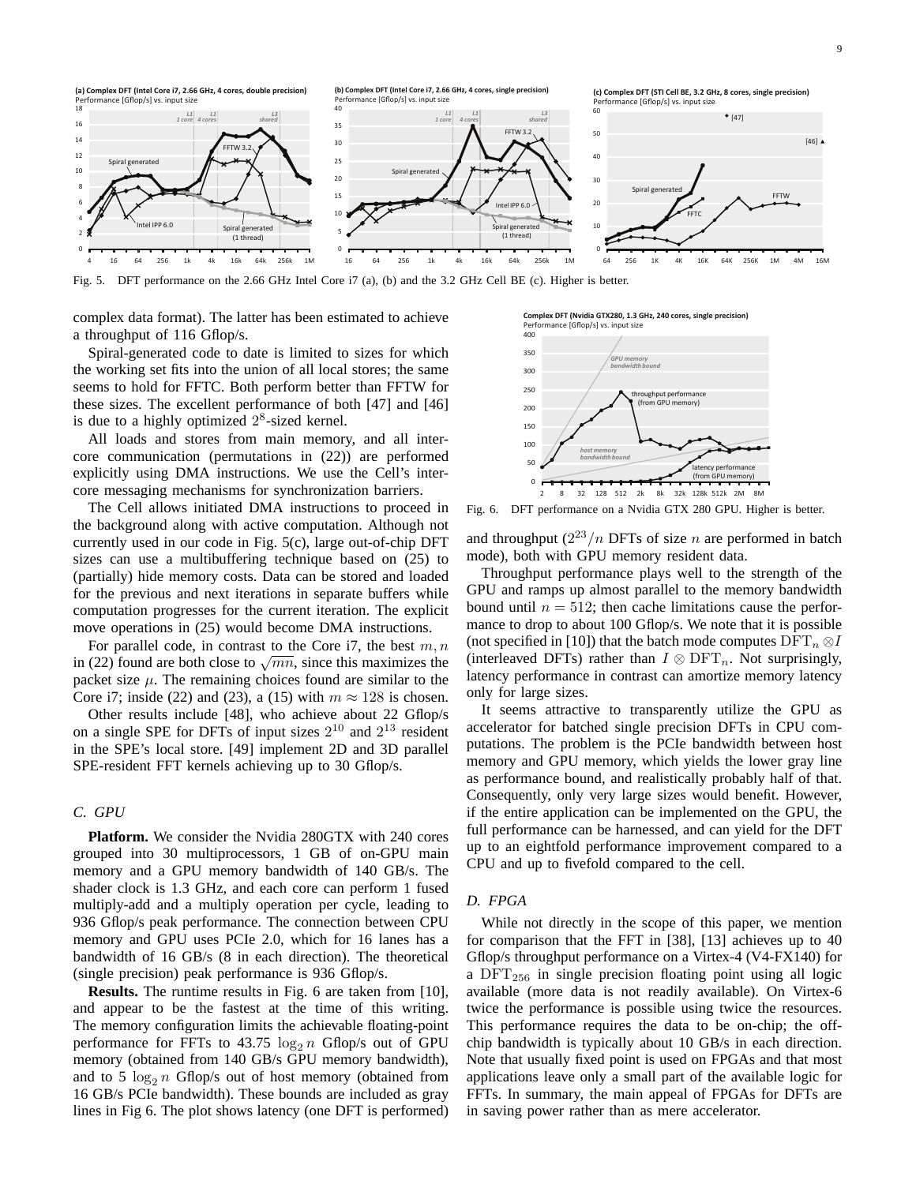

Fig. 5. DFT performance on the 2.66 GHz Intel Core i7 (a), (b) and the 3.2 GHz Cell BE (c). Higher is better.

complex data format). The latter has been estimated to achieve a throughput of 116 Gflop/s.

Spiral-generated code to date is limited to sizes for which the working set fits into the union of all local stores; the same seems to hold for FFTC. Both perform better than FFTW for these sizes. The excellent performance of both [47] and [46] is due to a highly optimized  $2<sup>8</sup>$ -sized kernel.

All loads and stores from main memory, and all intercore communication (permutations in (22)) are performed explicitly using DMA instructions. We use the Cell's intercore messaging mechanisms for synchronization barriers.

The Cell allows initiated DMA instructions to proceed in the background along with active computation. Although not currently used in our code in Fig. 5(c), large out-of-chip DFT sizes can use a multibuffering technique based on (25) to (partially) hide memory costs. Data can be stored and loaded for the previous and next iterations in separate buffers while computation progresses for the current iteration. The explicit move operations in (25) would become DMA instructions.

For parallel code, in contrast to the Core i7, the best  $m, n$ in (22) found are both close to  $\sqrt{mn}$ , since this maximizes the packet size  $\mu$ . The remaining choices found are similar to the Core i7; inside (22) and (23), a (15) with  $m \approx 128$  is chosen.

Other results include [48], who achieve about 22 Gflop/s on a single SPE for DFTs of input sizes  $2^{10}$  and  $2^{13}$  resident in the SPE's local store. [49] implement 2D and 3D parallel SPE-resident FFT kernels achieving up to 30 Gflop/s.

# *C. GPU*

**Platform.** We consider the Nvidia 280GTX with 240 cores grouped into 30 multiprocessors, 1 GB of on-GPU main memory and a GPU memory bandwidth of 140 GB/s. The shader clock is 1.3 GHz, and each core can perform 1 fused multiply-add and a multiply operation per cycle, leading to 936 Gflop/s peak performance. The connection between CPU memory and GPU uses PCIe 2.0, which for 16 lanes has a bandwidth of 16 GB/s (8 in each direction). The theoretical (single precision) peak performance is 936 Gflop/s.

**Results.** The runtime results in Fig. 6 are taken from [10], and appear to be the fastest at the time of this writing. The memory configuration limits the achievable floating-point performance for FFTs to 43.75  $\log_2 n$  Gflop/s out of GPU memory (obtained from 140 GB/s GPU memory bandwidth), and to 5  $\log_2 n$  Gflop/s out of host memory (obtained from 16 GB/s PCIe bandwidth). These bounds are included as gray lines in Fig 6. The plot shows latency (one DFT is performed)

**Complex DFT (Nvidia GTX280, 1.3 GHz, 240 cores, single precision)** Performance [Gflop/s] vs. input size



Fig. 6. DFT performance on a Nvidia GTX 280 GPU. Higher is better.

and throughput  $(2^{23}/n)$  DFTs of size n are performed in batch mode), both with GPU memory resident data.

Throughput performance plays well to the strength of the GPU and ramps up almost parallel to the memory bandwidth bound until  $n = 512$ ; then cache limitations cause the performance to drop to about 100 Gflop/s. We note that it is possible (not specified in [10]) that the batch mode computes  $\text{DFT}_n \otimes I$ (interleaved DFTs) rather than  $I \otimes \text{DFT}_n$ . Not surprisingly, latency performance in contrast can amortize memory latency only for large sizes.

It seems attractive to transparently utilize the GPU as accelerator for batched single precision DFTs in CPU computations. The problem is the PCIe bandwidth between host memory and GPU memory, which yields the lower gray line as performance bound, and realistically probably half of that. Consequently, only very large sizes would benefit. However, if the entire application can be implemented on the GPU, the full performance can be harnessed, and can yield for the DFT up to an eightfold performance improvement compared to a CPU and up to fivefold compared to the cell.

## *D. FPGA*

While not directly in the scope of this paper, we mention for comparison that the FFT in [38], [13] achieves up to 40 Gflop/s throughput performance on a Virtex-4 (V4-FX140) for a  $DFT<sub>256</sub>$  in single precision floating point using all logic available (more data is not readily available). On Virtex-6 twice the performance is possible using twice the resources. This performance requires the data to be on-chip; the offchip bandwidth is typically about 10 GB/s in each direction. Note that usually fixed point is used on FPGAs and that most applications leave only a small part of the available logic for FFTs. In summary, the main appeal of FPGAs for DFTs are in saving power rather than as mere accelerator.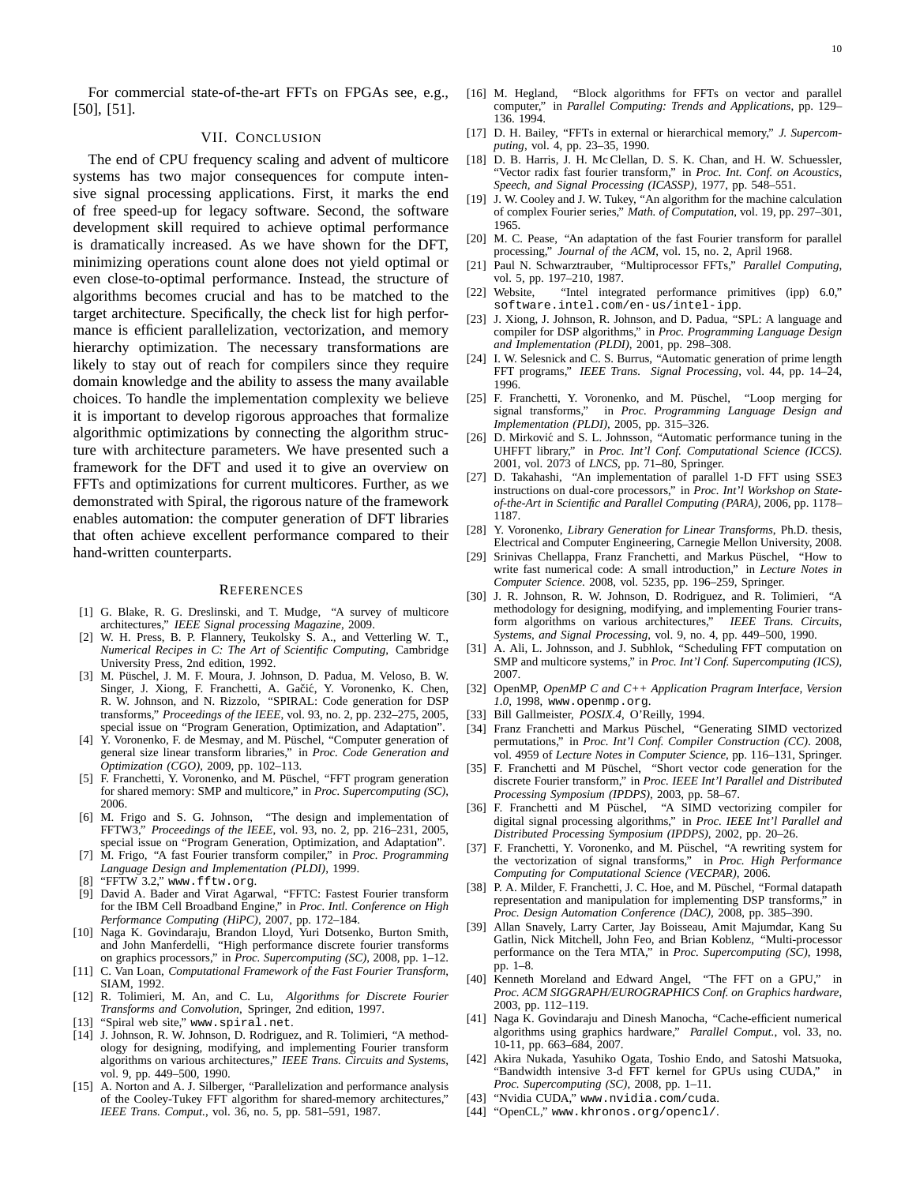For commercial state-of-the-art FFTs on FPGAs see, e.g., [50], [51].

## VII. CONCLUSION

The end of CPU frequency scaling and advent of multicore systems has two major consequences for compute intensive signal processing applications. First, it marks the end of free speed-up for legacy software. Second, the software development skill required to achieve optimal performance is dramatically increased. As we have shown for the DFT, minimizing operations count alone does not yield optimal or even close-to-optimal performance. Instead, the structure of algorithms becomes crucial and has to be matched to the target architecture. Specifically, the check list for high performance is efficient parallelization, vectorization, and memory hierarchy optimization. The necessary transformations are likely to stay out of reach for compilers since they require domain knowledge and the ability to assess the many available choices. To handle the implementation complexity we believe it is important to develop rigorous approaches that formalize algorithmic optimizations by connecting the algorithm structure with architecture parameters. We have presented such a framework for the DFT and used it to give an overview on FFTs and optimizations for current multicores. Further, as we demonstrated with Spiral, the rigorous nature of the framework enables automation: the computer generation of DFT libraries that often achieve excellent performance compared to their hand-written counterparts.

#### **REFERENCES**

- [1] G. Blake, R. G. Dreslinski, and T. Mudge, "A survey of multicore architectures," *IEEE Signal processing Magazine*, 2009.
- [2] W. H. Press, B. P. Flannery, Teukolsky S. A., and Vetterling W. T., *Numerical Recipes in C: The Art of Scientific Computing*, Cambridge University Press, 2nd edition, 1992.
- [3] M. Püschel, J. M. F. Moura, J. Johnson, D. Padua, M. Veloso, B. W. Singer, J. Xiong, F. Franchetti, A. Gačić, Y. Voronenko, K. Chen, R. W. Johnson, and N. Rizzolo, "SPIRAL: Code generation for DSP transforms," *Proceedings of the IEEE*, vol. 93, no. 2, pp. 232–275, 2005, special issue on "Program Generation, Optimization, and Adaptation".
- [4] Y. Voronenko, F. de Mesmay, and M. Püschel, "Computer generation of general size linear transform libraries," in *Proc. Code Generation and Optimization (CGO)*, 2009, pp. 102–113.
- [5] F. Franchetti, Y. Voronenko, and M. Püschel, "FFT program generation for shared memory: SMP and multicore," in *Proc. Supercomputing (SC)*, 2006.
- [6] M. Frigo and S. G. Johnson, "The design and implementation of FFTW3," *Proceedings of the IEEE*, vol. 93, no. 2, pp. 216–231, 2005, special issue on "Program Generation, Optimization, and Adaptation".
- [7] M. Frigo, "A fast Fourier transform compiler," in *Proc. Programming Language Design and Implementation (PLDI)*, 1999.
- [8] "FFTW 3.2," www.fftw.org.
- [9] David A. Bader and Virat Agarwal, "FFTC: Fastest Fourier transform for the IBM Cell Broadband Engine," in *Proc. Intl. Conference on High Performance Computing (HiPC)*, 2007, pp. 172–184.
- [10] Naga K. Govindaraju, Brandon Lloyd, Yuri Dotsenko, Burton Smith, and John Manferdelli, "High performance discrete fourier transforms on graphics processors," in *Proc. Supercomputing (SC)*, 2008, pp. 1–12.
- [11] C. Van Loan, *Computational Framework of the Fast Fourier Transform*, SIAM, 1992.
- [12] R. Tolimieri, M. An, and C. Lu, *Algorithms for Discrete Fourier Transforms and Convolution*, Springer, 2nd edition, 1997.
- [13] "Spiral web site," www.spiral.net.
- [14] J. Johnson, R. W. Johnson, D. Rodriguez, and R. Tolimieri, "A methodology for designing, modifying, and implementing Fourier transform algorithms on various architectures," *IEEE Trans. Circuits and Systems*, vol. 9, pp. 449–500, 1990.
- [15] A. Norton and A. J. Silberger, "Parallelization and performance analysis of the Cooley-Tukey FFT algorithm for shared-memory architectures," *IEEE Trans. Comput.*, vol. 36, no. 5, pp. 581–591, 1987.
- [16] M. Hegland, "Block algorithms for FFTs on vector and parallel computer," in *Parallel Computing: Trends and Applications*, pp. 129– 136. 1994.
- [17] D. H. Bailey, "FFTs in external or hierarchical memory," *J. Supercomputing*, vol. 4, pp. 23–35, 1990.
- [18] D. B. Harris, J. H. Mc Clellan, D. S. K. Chan, and H. W. Schuessler, "Vector radix fast fourier transform," in *Proc. Int. Conf. on Acoustics, Speech, and Signal Processing (ICASSP)*, 1977, pp. 548–551.
- [19] J. W. Cooley and J. W. Tukey, "An algorithm for the machine calculation of complex Fourier series," *Math. of Computation*, vol. 19, pp. 297–301, 1965.
- [20] M. C. Pease, "An adaptation of the fast Fourier transform for parallel processing," *Journal of the ACM*, vol. 15, no. 2, April 1968.
- [21] Paul N. Schwarztrauber, "Multiprocessor FFTs," *Parallel Computing*, vol. 5, pp. 197–210, 1987.
- [22] Website, "Intel integrated performance primitives (ipp) 6.0," software.intel.com/en-us/intel-ipp.
- [23] J. Xiong, J. Johnson, R. Johnson, and D. Padua, "SPL: A language and compiler for DSP algorithms," in *Proc. Programming Language Design and Implementation (PLDI)*, 2001, pp. 298–308.
- [24] I. W. Selesnick and C. S. Burrus, "Automatic generation of prime length FFT programs," *IEEE Trans. Signal Processing*, vol. 44, pp. 14–24, 1996.
- [25] F. Franchetti, Y. Voronenko, and M. Püschel, "Loop merging for signal transforms," in *Proc. Programming Language Design and Implementation (PLDI)*, 2005, pp. 315–326.
- [26] D. Mirković and S. L. Johnsson, "Automatic performance tuning in the UHFFT library," in *Proc. Int'l Conf. Computational Science (ICCS)*. 2001, vol. 2073 of *LNCS*, pp. 71–80, Springer.
- [27] D. Takahashi, "An implementation of parallel 1-D FFT using SSE3 instructions on dual-core processors," in *Proc. Int'l Workshop on Stateof-the-Art in Scientific and Parallel Computing (PARA)*, 2006, pp. 1178– 1187.
- [28] Y. Voronenko, *Library Generation for Linear Transforms*, Ph.D. thesis, Electrical and Computer Engineering, Carnegie Mellon University, 2008.
- [29] Srinivas Chellappa, Franz Franchetti, and Markus Püschel, "How to write fast numerical code: A small introduction," in *Lecture Notes in Computer Science*. 2008, vol. 5235, pp. 196–259, Springer.
- [30] J. R. Johnson, R. W. Johnson, D. Rodriguez, and R. Tolimieri, "A methodology for designing, modifying, and implementing Fourier trans-<br>form algorithms on various architectures." IEEE Trans. Circuits. form algorithms on various architectures," *Systems, and Signal Processing*, vol. 9, no. 4, pp. 449–500, 1990.
- [31] A. Ali, L. Johnsson, and J. Subhlok, "Scheduling FFT computation on SMP and multicore systems," in *Proc. Int'l Conf. Supercomputing (ICS)*, 2007.
- [32] OpenMP, *OpenMP C and C++ Application Pragram Interface, Version 1.0*, 1998, www.openmp.org.
- [33] Bill Gallmeister, *POSIX.4*, O'Reilly, 1994.
- [34] Franz Franchetti and Markus Püschel, "Generating SIMD vectorized permutations," in *Proc. Int'l Conf. Compiler Construction (CC)*. 2008, vol. 4959 of *Lecture Notes in Computer Science*, pp. 116–131, Springer.
- [35] F. Franchetti and M Püschel, "Short vector code generation for the discrete Fourier transform," in *Proc. IEEE Int'l Parallel and Distributed Processing Symposium (IPDPS)*, 2003, pp. 58–67.
- [36] F. Franchetti and M Püschel, "A SIMD vectorizing compiler for digital signal processing algorithms," in *Proc. IEEE Int'l Parallel and Distributed Processing Symposium (IPDPS)*, 2002, pp. 20–26.
- [37] F. Franchetti, Y. Voronenko, and M. Püschel, "A rewriting system for the vectorization of signal transforms," in *Proc. High Performance Computing for Computational Science (VECPAR)*, 2006.
- [38] P. A. Milder, F. Franchetti, J. C. Hoe, and M. Püschel, "Formal datapath representation and manipulation for implementing DSP transforms," in *Proc. Design Automation Conference (DAC)*, 2008, pp. 385–390.
- [39] Allan Snavely, Larry Carter, Jay Boisseau, Amit Majumdar, Kang Su Gatlin, Nick Mitchell, John Feo, and Brian Koblenz, "Multi-processor performance on the Tera MTA," in *Proc. Supercomputing (SC)*, 1998, pp. 1–8.
- [40] Kenneth Moreland and Edward Angel, "The FFT on a GPU," in *Proc. ACM SIGGRAPH/EUROGRAPHICS Conf. on Graphics hardware*, 2003, pp. 112–119.
- [41] Naga K. Govindaraju and Dinesh Manocha, "Cache-efficient numerical algorithms using graphics hardware," *Parallel Comput.*, vol. 33, no. 10-11, pp. 663–684, 2007.
- [42] Akira Nukada, Yasuhiko Ogata, Toshio Endo, and Satoshi Matsuoka, "Bandwidth intensive 3-d FFT kernel for GPUs using CUDA," in *Proc. Supercomputing (SC)*, 2008, pp. 1–11.
- [43] "Nvidia CUDA," www.nvidia.com/cuda.
- [44] "OpenCL," www.khronos.org/opencl/.